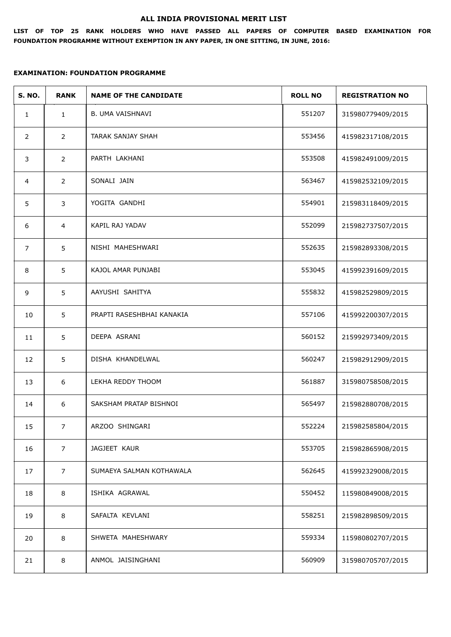#### **ALL INDIA PROVISIONAL MERIT LIST**

**LIST OF TOP 25 RANK HOLDERS WHO HAVE PASSED ALL PAPERS OF COMPUTER BASED EXAMINATION FOR FOUNDATION PROGRAMME WITHOUT EXEMPTION IN ANY PAPER, IN ONE SITTING, IN JUNE, 2016:**

| <b>S. NO.</b>  | <b>RANK</b>    | <b>NAME OF THE CANDIDATE</b> | <b>ROLL NO</b> | <b>REGISTRATION NO</b> |
|----------------|----------------|------------------------------|----------------|------------------------|
| $\mathbf{1}$   | $\mathbf{1}$   | B. UMA VAISHNAVI             | 551207         | 315980779409/2015      |
| $\overline{2}$ | $\overline{2}$ | TARAK SANJAY SHAH            | 553456         | 415982317108/2015      |
| 3              | $\overline{2}$ | PARTH LAKHANI                | 553508         | 415982491009/2015      |
| 4              | $\overline{2}$ | SONALI JAIN                  | 563467         | 415982532109/2015      |
| 5              | 3              | YOGITA GANDHI                | 554901         | 215983118409/2015      |
| 6              | $\overline{4}$ | KAPIL RAJ YADAV              | 552099         | 215982737507/2015      |
| $\overline{7}$ | 5              | NISHI MAHESHWARI             | 552635         | 215982893308/2015      |
| 8              | 5              | KAJOL AMAR PUNJABI           | 553045         | 415992391609/2015      |
| 9              | 5              | AAYUSHI SAHITYA              | 555832         | 415982529809/2015      |
| 10             | 5              | PRAPTI RASESHBHAI KANAKIA    | 557106         | 415992200307/2015      |
| 11             | 5              | DEEPA ASRANI                 | 560152         | 215992973409/2015      |
| 12             | 5              | DISHA KHANDELWAL             | 560247         | 215982912909/2015      |
| 13             | 6              | LEKHA REDDY THOOM            | 561887         | 315980758508/2015      |
| 14             | 6              | SAKSHAM PRATAP BISHNOI       | 565497         | 215982880708/2015      |
| 15             | 7              | ARZOO SHINGARI               | 552224         | 215982585804/2015      |
| 16             | $\overline{7}$ | JAGJEET KAUR                 | 553705         | 215982865908/2015      |
| 17             | $\overline{7}$ | SUMAEYA SALMAN KOTHAWALA     | 562645         | 415992329008/2015      |
| 18             | 8              | ISHIKA AGRAWAL               | 550452         | 115980849008/2015      |
| 19             | 8              | SAFALTA KEVLANI              | 558251         | 215982898509/2015      |
| 20             | 8              | SHWETA MAHESHWARY            | 559334         | 115980802707/2015      |
| 21             | 8              | ANMOL JAISINGHANI            | 560909         | 315980705707/2015      |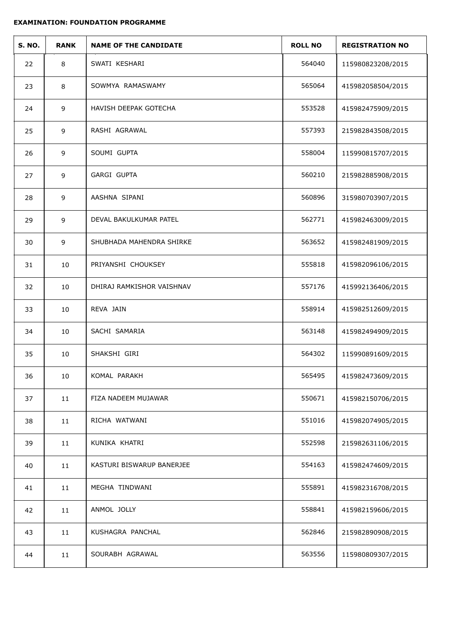| <b>S. NO.</b> | <b>RANK</b>     | <b>NAME OF THE CANDIDATE</b> | <b>ROLL NO</b> | <b>REGISTRATION NO</b> |
|---------------|-----------------|------------------------------|----------------|------------------------|
| 22            | 8               | SWATI KESHARI                | 564040         | 115980823208/2015      |
| 23            | 8               | SOWMYA RAMASWAMY             | 565064         | 415982058504/2015      |
| 24            | 9               | HAVISH DEEPAK GOTECHA        | 553528         | 415982475909/2015      |
| 25            | 9               | RASHI AGRAWAL                | 557393         | 215982843508/2015      |
| 26            | 9               | SOUMI GUPTA                  | 558004         | 115990815707/2015      |
| 27            | 9               | <b>GARGI GUPTA</b>           | 560210         | 215982885908/2015      |
| 28            | 9               | AASHNA SIPANI                | 560896         | 315980703907/2015      |
| 29            | 9               | DEVAL BAKULKUMAR PATEL       | 562771         | 415982463009/2015      |
| 30            | 9               | SHUBHADA MAHENDRA SHIRKE     | 563652         | 415982481909/2015      |
| 31            | 10              | PRIYANSHI CHOUKSEY           | 555818         | 415982096106/2015      |
| 32            | 10              | DHIRAJ RAMKISHOR VAISHNAV    | 557176         | 415992136406/2015      |
| 33            | 10              | REVA JAIN                    | 558914         | 415982512609/2015      |
| 34            | 10              | SACHI SAMARIA                | 563148         | 415982494909/2015      |
| 35            | 10              | SHAKSHI GIRI                 | 564302         | 115990891609/2015      |
| 36            | 10 <sup>°</sup> | KOMAL PARAKH                 | 565495         | 415982473609/2015      |
| 37            | 11              | FIZA NADEEM MUJAWAR          | 550671         | 415982150706/2015      |
| 38            | 11              | RICHA WATWANI                | 551016         | 415982074905/2015      |
| 39            | 11              | KUNIKA KHATRI                | 552598         | 215982631106/2015      |
| 40            | 11              | KASTURI BISWARUP BANERJEE    | 554163         | 415982474609/2015      |
| 41            | 11              | MEGHA TINDWANI               | 555891         | 415982316708/2015      |
| 42            | 11              | ANMOL JOLLY                  | 558841         | 415982159606/2015      |
| 43            | 11              | KUSHAGRA PANCHAL             | 562846         | 215982890908/2015      |
| 44            | 11              | SOURABH AGRAWAL              | 563556         | 115980809307/2015      |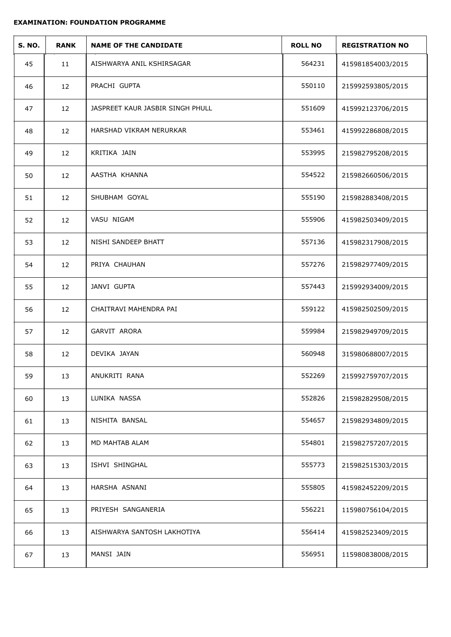| <b>S. NO.</b> | <b>RANK</b> | <b>NAME OF THE CANDIDATE</b>     | <b>ROLL NO</b> | <b>REGISTRATION NO</b> |
|---------------|-------------|----------------------------------|----------------|------------------------|
| 45            | 11          | AISHWARYA ANIL KSHIRSAGAR        | 564231         | 415981854003/2015      |
| 46            | 12          | PRACHI GUPTA                     | 550110         | 215992593805/2015      |
| 47            | 12          | JASPREET KAUR JASBIR SINGH PHULL | 551609         | 415992123706/2015      |
| 48            | 12          | HARSHAD VIKRAM NERURKAR          | 553461         | 415992286808/2015      |
| 49            | 12          | KRITIKA JAIN                     | 553995         | 215982795208/2015      |
| 50            | 12          | AASTHA KHANNA                    | 554522         | 215982660506/2015      |
| 51            | 12          | SHUBHAM GOYAL                    | 555190         | 215982883408/2015      |
| 52            | 12          | VASU NIGAM                       | 555906         | 415982503409/2015      |
| 53            | 12          | NISHI SANDEEP BHATT              | 557136         | 415982317908/2015      |
| 54            | 12          | PRIYA CHAUHAN                    | 557276         | 215982977409/2015      |
| 55            | 12          | JANVI GUPTA                      | 557443         | 215992934009/2015      |
| 56            | 12          | CHAITRAVI MAHENDRA PAI           | 559122         | 415982502509/2015      |
| 57            | 12          | GARVIT ARORA                     | 559984         | 215982949709/2015      |
| 58            | 12          | DEVIKA JAYAN                     | 560948         | 315980688007/2015      |
| 59            | 13          | ANUKRITI RANA                    | 552269         | 215992759707/2015      |
| 60            | 13          | LUNIKA NASSA                     | 552826         | 215982829508/2015      |
| 61            | 13          | NISHITA BANSAL                   | 554657         | 215982934809/2015      |
| 62            | 13          | MD MAHTAB ALAM                   | 554801         | 215982757207/2015      |
| 63            | 13          | ISHVI SHINGHAL                   | 555773         | 215982515303/2015      |
| 64            | 13          | HARSHA ASNANI                    | 555805         | 415982452209/2015      |
| 65            | 13          | PRIYESH SANGANERIA               | 556221         | 115980756104/2015      |
| 66            | 13          | AISHWARYA SANTOSH LAKHOTIYA      | 556414         | 415982523409/2015      |
| 67            | 13          | MANSI JAIN                       | 556951         | 115980838008/2015      |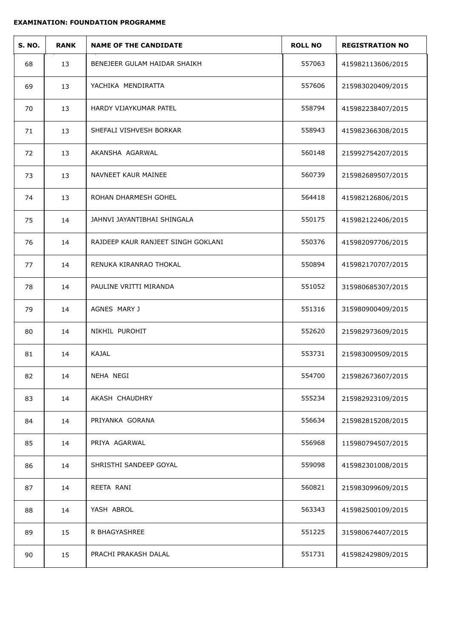| <b>S. NO.</b> | <b>RANK</b> | <b>NAME OF THE CANDIDATE</b>       | <b>ROLL NO</b> | <b>REGISTRATION NO</b> |
|---------------|-------------|------------------------------------|----------------|------------------------|
| 68            | 13          | BENEJEER GULAM HAIDAR SHAIKH       | 557063         | 415982113606/2015      |
| 69            | 13          | YACHIKA MENDIRATTA                 | 557606         | 215983020409/2015      |
| 70            | 13          | HARDY VIJAYKUMAR PATEL             | 558794         | 415982238407/2015      |
| 71            | 13          | SHEFALI VISHVESH BORKAR            | 558943         | 415982366308/2015      |
| 72            | 13          | AKANSHA AGARWAL                    | 560148         | 215992754207/2015      |
| 73            | 13          | NAVNEET KAUR MAINEE                | 560739         | 215982689507/2015      |
| 74            | 13          | ROHAN DHARMESH GOHEL               | 564418         | 415982126806/2015      |
| 75            | 14          | JAHNVI JAYANTIBHAI SHINGALA        | 550175         | 415982122406/2015      |
| 76            | 14          | RAJDEEP KAUR RANJEET SINGH GOKLANI | 550376         | 415982097706/2015      |
| 77            | 14          | RENUKA KIRANRAO THOKAL             | 550894         | 415982170707/2015      |
| 78            | 14          | PAULINE VRITTI MIRANDA             | 551052         | 315980685307/2015      |
| 79            | 14          | AGNES MARY J                       | 551316         | 315980900409/2015      |
| 80            | 14          | NIKHIL PUROHIT                     | 552620         | 215982973609/2015      |
| 81            | 14          | KAJAL                              | 553731         | 215983009509/2015      |
| 82            | 14          | NEHA NEGI                          | 554700         | 215982673607/2015      |
| 83            | 14          | AKASH CHAUDHRY                     | 555234         | 215982923109/2015      |
| 84            | 14          | PRIYANKA GORANA                    | 556634         | 215982815208/2015      |
| 85            | 14          | PRIYA AGARWAL                      | 556968         | 115980794507/2015      |
| 86            | 14          | SHRISTHI SANDEEP GOYAL             | 559098         | 415982301008/2015      |
| 87            | 14          | REETA RANI                         | 560821         | 215983099609/2015      |
| 88            | 14          | YASH ABROL                         | 563343         | 415982500109/2015      |
| 89            | 15          | R BHAGYASHREE                      | 551225         | 315980674407/2015      |
| 90            | 15          | PRACHI PRAKASH DALAL               | 551731         | 415982429809/2015      |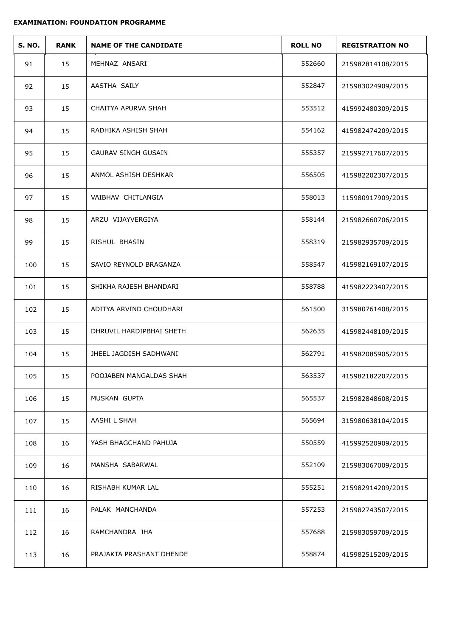| <b>S. NO.</b> | <b>RANK</b> | <b>NAME OF THE CANDIDATE</b> | <b>ROLL NO</b> | <b>REGISTRATION NO</b> |
|---------------|-------------|------------------------------|----------------|------------------------|
| 91            | 15          | MEHNAZ ANSARI                | 552660         | 215982814108/2015      |
| 92            | 15          | AASTHA SAILY                 | 552847         | 215983024909/2015      |
| 93            | 15          | CHAITYA APURVA SHAH          | 553512         | 415992480309/2015      |
| 94            | 15          | RADHIKA ASHISH SHAH          | 554162         | 415982474209/2015      |
| 95            | 15          | <b>GAURAV SINGH GUSAIN</b>   | 555357         | 215992717607/2015      |
| 96            | 15          | ANMOL ASHISH DESHKAR         | 556505         | 415982202307/2015      |
| 97            | 15          | VAIBHAV CHITLANGIA           | 558013         | 115980917909/2015      |
| 98            | 15          | ARZU VIJAYVERGIYA            | 558144         | 215982660706/2015      |
| 99            | 15          | RISHUL BHASIN                | 558319         | 215982935709/2015      |
| 100           | 15          | SAVIO REYNOLD BRAGANZA       | 558547         | 415982169107/2015      |
| 101           | 15          | SHIKHA RAJESH BHANDARI       | 558788         | 415982223407/2015      |
| 102           | 15          | ADITYA ARVIND CHOUDHARI      | 561500         | 315980761408/2015      |
| 103           | 15          | DHRUVIL HARDIPBHAI SHETH     | 562635         | 415982448109/2015      |
| 104           | 15          | JHEEL JAGDISH SADHWANI       | 562791         | 415982085905/2015      |
| 105           | 15          | POOJABEN MANGALDAS SHAH      | 563537         | 415982182207/2015      |
| 106           | 15          | MUSKAN GUPTA                 | 565537         | 215982848608/2015      |
| 107           | 15          | AASHI L SHAH                 | 565694         | 315980638104/2015      |
| 108           | 16          | YASH BHAGCHAND PAHUJA        | 550559         | 415992520909/2015      |
| 109           | 16          | MANSHA SABARWAL              | 552109         | 215983067009/2015      |
| 110           | 16          | RISHABH KUMAR LAL            | 555251         | 215982914209/2015      |
| 111           | 16          | PALAK MANCHANDA              | 557253         | 215982743507/2015      |
| 112           | 16          | RAMCHANDRA JHA               | 557688         | 215983059709/2015      |
| 113           | 16          | PRAJAKTA PRASHANT DHENDE     | 558874         | 415982515209/2015      |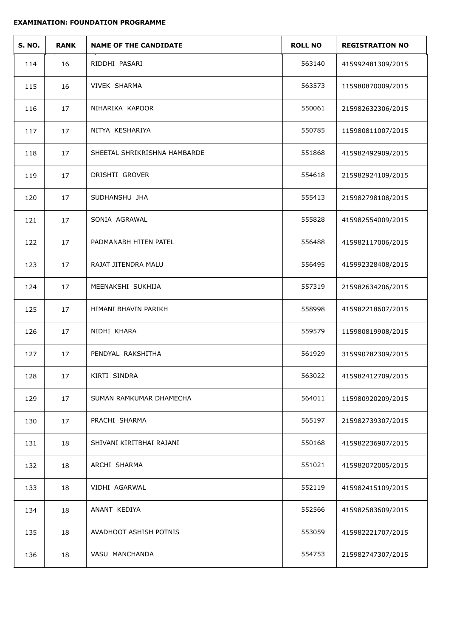| <b>S. NO.</b> | <b>RANK</b> | <b>NAME OF THE CANDIDATE</b> | <b>ROLL NO</b> | <b>REGISTRATION NO</b> |
|---------------|-------------|------------------------------|----------------|------------------------|
| 114           | 16          | RIDDHI PASARI                | 563140         | 415992481309/2015      |
| 115           | 16          | <b>VIVEK SHARMA</b>          | 563573         | 115980870009/2015      |
| 116           | 17          | NIHARIKA KAPOOR              | 550061         | 215982632306/2015      |
| 117           | 17          | NITYA KESHARIYA              | 550785         | 115980811007/2015      |
| 118           | 17          | SHEETAL SHRIKRISHNA HAMBARDE | 551868         | 415982492909/2015      |
| 119           | 17          | DRISHTI GROVER               | 554618         | 215982924109/2015      |
| 120           | 17          | SUDHANSHU JHA                | 555413         | 215982798108/2015      |
| 121           | 17          | SONIA AGRAWAL                | 555828         | 415982554009/2015      |
| 122           | 17          | PADMANABH HITEN PATEL        | 556488         | 415982117006/2015      |
| 123           | 17          | RAJAT JITENDRA MALU          | 556495         | 415992328408/2015      |
| 124           | 17          | MEENAKSHI SUKHIJA            | 557319         | 215982634206/2015      |
| 125           | 17          | HIMANI BHAVIN PARIKH         | 558998         | 415982218607/2015      |
| 126           | 17          | NIDHI KHARA                  | 559579         | 115980819908/2015      |
| 127           | 17          | PENDYAL RAKSHITHA            | 561929         | 315990782309/2015      |
| 128           | 17          | KIRTI SINDRA                 | 563022         | 415982412709/2015      |
| 129           | 17          | SUMAN RAMKUMAR DHAMECHA      | 564011         | 115980920209/2015      |
| 130           | 17          | PRACHI SHARMA                | 565197         | 215982739307/2015      |
| 131           | 18          | SHIVANI KIRITBHAI RAJANI     | 550168         | 415982236907/2015      |
| 132           | 18          | ARCHI SHARMA                 | 551021         | 415982072005/2015      |
| 133           | 18          | VIDHI AGARWAL                | 552119         | 415982415109/2015      |
| 134           | 18          | ANANT KEDIYA                 | 552566         | 415982583609/2015      |
| 135           | 18          | AVADHOOT ASHISH POTNIS       | 553059         | 415982221707/2015      |
| 136           | 18          | VASU MANCHANDA               | 554753         | 215982747307/2015      |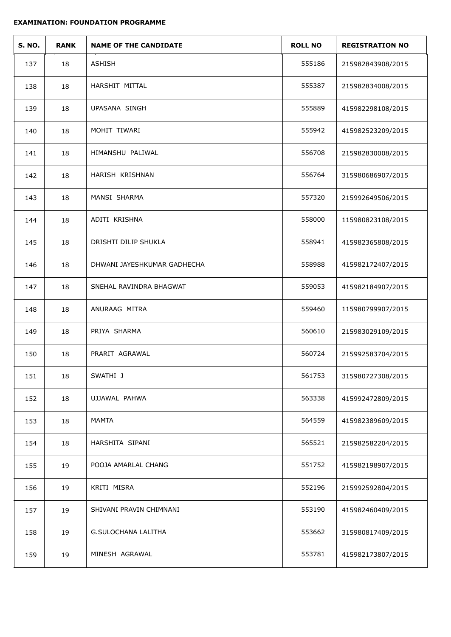| <b>S. NO.</b> | <b>RANK</b> | <b>NAME OF THE CANDIDATE</b> | <b>ROLL NO</b> | <b>REGISTRATION NO</b> |
|---------------|-------------|------------------------------|----------------|------------------------|
| 137           | 18          | ASHISH                       | 555186         | 215982843908/2015      |
| 138           | 18          | HARSHIT MITTAL               | 555387         | 215982834008/2015      |
| 139           | 18          | <b>UPASANA SINGH</b>         | 555889         | 415982298108/2015      |
| 140           | 18          | MOHIT TIWARI                 | 555942         | 415982523209/2015      |
| 141           | 18          | HIMANSHU PALIWAL             | 556708         | 215982830008/2015      |
| 142           | 18          | HARISH KRISHNAN              | 556764         | 315980686907/2015      |
| 143           | 18          | MANSI SHARMA                 | 557320         | 215992649506/2015      |
| 144           | 18          | ADITI KRISHNA                | 558000         | 115980823108/2015      |
| 145           | 18          | DRISHTI DILIP SHUKLA         | 558941         | 415982365808/2015      |
| 146           | 18          | DHWANI JAYESHKUMAR GADHECHA  | 558988         | 415982172407/2015      |
| 147           | 18          | SNEHAL RAVINDRA BHAGWAT      | 559053         | 415982184907/2015      |
| 148           | 18          | ANURAAG MITRA                | 559460         | 115980799907/2015      |
| 149           | 18          | PRIYA SHARMA                 | 560610         | 215983029109/2015      |
| 150           | 18          | PRARIT AGRAWAL               | 560724         | 215992583704/2015      |
| 151           | 18          | SWATHI J                     | 561753         | 315980727308/2015      |
| 152           | 18          | UJJAWAL PAHWA                | 563338         | 415992472809/2015      |
| 153           | 18          | <b>MAMTA</b>                 | 564559         | 415982389609/2015      |
| 154           | 18          | HARSHITA SIPANI              | 565521         | 215982582204/2015      |
| 155           | 19          | POOJA AMARLAL CHANG          | 551752         | 415982198907/2015      |
| 156           | 19          | KRITI MISRA                  | 552196         | 215992592804/2015      |
| 157           | 19          | SHIVANI PRAVIN CHIMNANI      | 553190         | 415982460409/2015      |
| 158           | 19          | <b>G.SULOCHANA LALITHA</b>   | 553662         | 315980817409/2015      |
| 159           | 19          | MINESH AGRAWAL               | 553781         | 415982173807/2015      |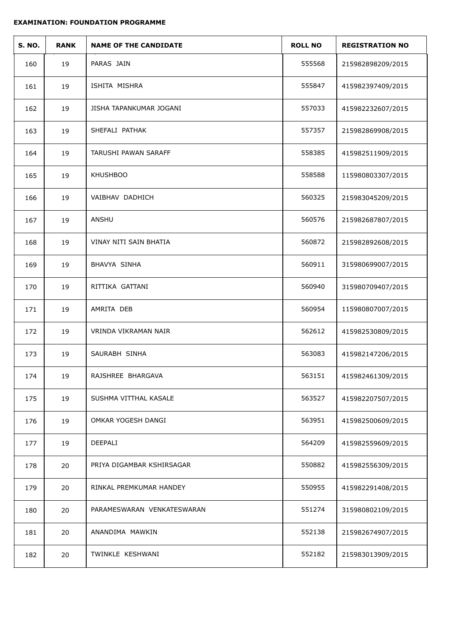| <b>S. NO.</b> | <b>RANK</b> | <b>NAME OF THE CANDIDATE</b> | <b>ROLL NO</b> | <b>REGISTRATION NO</b> |
|---------------|-------------|------------------------------|----------------|------------------------|
| 160           | 19          | PARAS JAIN                   | 555568         | 215982898209/2015      |
| 161           | 19          | ISHITA MISHRA                | 555847         | 415982397409/2015      |
| 162           | 19          | JISHA TAPANKUMAR JOGANI      | 557033         | 415982232607/2015      |
| 163           | 19          | SHEFALI PATHAK               | 557357         | 215982869908/2015      |
| 164           | 19          | TARUSHI PAWAN SARAFF         | 558385         | 415982511909/2015      |
| 165           | 19          | <b>KHUSHBOO</b>              | 558588         | 115980803307/2015      |
| 166           | 19          | VAIBHAV DADHICH              | 560325         | 215983045209/2015      |
| 167           | 19          | ANSHU                        | 560576         | 215982687807/2015      |
| 168           | 19          | VINAY NITI SAIN BHATIA       | 560872         | 215982892608/2015      |
| 169           | 19          | BHAVYA SINHA                 | 560911         | 315980699007/2015      |
| 170           | 19          | RITTIKA GATTANI              | 560940         | 315980709407/2015      |
| 171           | 19          | AMRITA DEB                   | 560954         | 115980807007/2015      |
| 172           | 19          | VRINDA VIKRAMAN NAIR         | 562612         | 415982530809/2015      |
| 173           | 19          | SAURABH SINHA                | 563083         | 415982147206/2015      |
| 174           | 19          | RAJSHREE BHARGAVA            | 563151         | 415982461309/2015      |
| 175           | 19          | SUSHMA VITTHAL KASALE        | 563527         | 415982207507/2015      |
| 176           | 19          | OMKAR YOGESH DANGI           | 563951         | 415982500609/2015      |
| 177           | 19          | DEEPALI                      | 564209         | 415982559609/2015      |
| 178           | 20          | PRIYA DIGAMBAR KSHIRSAGAR    | 550882         | 415982556309/2015      |
| 179           | 20          | RINKAL PREMKUMAR HANDEY      | 550955         | 415982291408/2015      |
| 180           | 20          | PARAMESWARAN VENKATESWARAN   | 551274         | 315980802109/2015      |
| 181           | 20          | ANANDIMA MAWKIN              | 552138         | 215982674907/2015      |
| 182           | 20          | TWINKLE KESHWANI             | 552182         | 215983013909/2015      |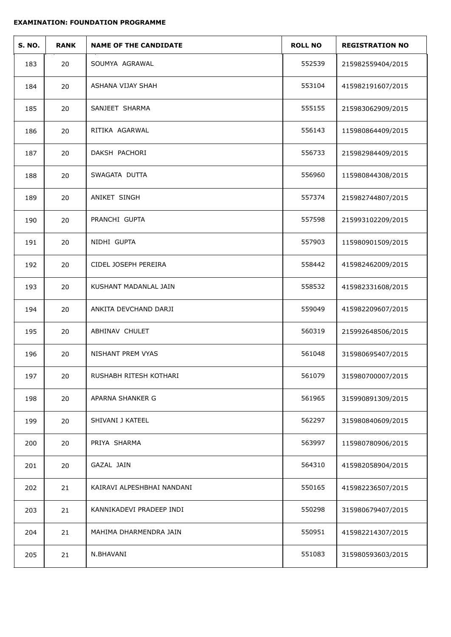| <b>S. NO.</b> | <b>RANK</b> | <b>NAME OF THE CANDIDATE</b> | <b>ROLL NO</b> | <b>REGISTRATION NO</b> |
|---------------|-------------|------------------------------|----------------|------------------------|
| 183           | 20          | SOUMYA AGRAWAL               | 552539         | 215982559404/2015      |
| 184           | 20          | ASHANA VIJAY SHAH            | 553104         | 415982191607/2015      |
| 185           | 20          | SANJEET SHARMA               | 555155         | 215983062909/2015      |
| 186           | 20          | RITIKA AGARWAL               | 556143         | 115980864409/2015      |
| 187           | 20          | DAKSH PACHORI                | 556733         | 215982984409/2015      |
| 188           | 20          | SWAGATA DUTTA                | 556960         | 115980844308/2015      |
| 189           | 20          | ANIKET SINGH                 | 557374         | 215982744807/2015      |
| 190           | 20          | PRANCHI GUPTA                | 557598         | 215993102209/2015      |
| 191           | 20          | NIDHI GUPTA                  | 557903         | 115980901509/2015      |
| 192           | 20          | CIDEL JOSEPH PEREIRA         | 558442         | 415982462009/2015      |
| 193           | 20          | KUSHANT MADANLAL JAIN        | 558532         | 415982331608/2015      |
| 194           | 20          | ANKITA DEVCHAND DARJI        | 559049         | 415982209607/2015      |
| 195           | 20          | ABHINAV CHULET               | 560319         | 215992648506/2015      |
| 196           | 20          | NISHANT PREM VYAS            | 561048         | 315980695407/2015      |
| 197           | 20          | RUSHABH RITESH KOTHARI       | 561079         | 315980700007/2015      |
| 198           | 20          | APARNA SHANKER G             | 561965         | 315990891309/2015      |
| 199           | 20          | SHIVANI J KATEEL             | 562297         | 315980840609/2015      |
| 200           | 20          | PRIYA SHARMA                 | 563997         | 115980780906/2015      |
| 201           | 20          | GAZAL JAIN                   | 564310         | 415982058904/2015      |
| 202           | 21          | KAIRAVI ALPESHBHAI NANDANI   | 550165         | 415982236507/2015      |
| 203           | 21          | KANNIKADEVI PRADEEP INDI     | 550298         | 315980679407/2015      |
| 204           | 21          | MAHIMA DHARMENDRA JAIN       | 550951         | 415982214307/2015      |
| 205           | 21          | N.BHAVANI                    | 551083         | 315980593603/2015      |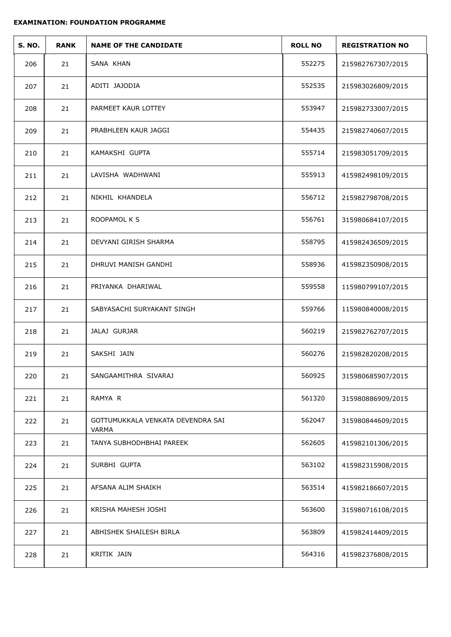| <b>S. NO.</b> | <b>RANK</b> | <b>NAME OF THE CANDIDATE</b>               | <b>ROLL NO</b> | <b>REGISTRATION NO</b> |
|---------------|-------------|--------------------------------------------|----------------|------------------------|
| 206           | 21          | SANA KHAN                                  | 552275         | 215982767307/2015      |
| 207           | 21          | ADITI JAJODIA                              | 552535         | 215983026809/2015      |
| 208           | 21          | PARMEET KAUR LOTTEY                        | 553947         | 215982733007/2015      |
| 209           | 21          | PRABHLEEN KAUR JAGGI                       | 554435         | 215982740607/2015      |
| 210           | 21          | KAMAKSHI GUPTA                             | 555714         | 215983051709/2015      |
| 211           | 21          | LAVISHA WADHWANI                           | 555913         | 415982498109/2015      |
| 212           | 21          | NIKHIL KHANDELA                            | 556712         | 215982798708/2015      |
| 213           | 21          | ROOPAMOL K S                               | 556761         | 315980684107/2015      |
| 214           | 21          | DEVYANI GIRISH SHARMA                      | 558795         | 415982436509/2015      |
| 215           | 21          | DHRUVI MANISH GANDHI                       | 558936         | 415982350908/2015      |
| 216           | 21          | PRIYANKA DHARIWAL                          | 559558         | 115980799107/2015      |
| 217           | 21          | SABYASACHI SURYAKANT SINGH                 | 559766         | 115980840008/2015      |
| 218           | 21          | JALAJ GURJAR                               | 560219         | 215982762707/2015      |
| 219           | 21          | SAKSHI JAIN                                | 560276         | 215982820208/2015      |
| 220           | 21          | SANGAAMITHRA SIVARAJ                       | 560925         | 315980685907/2015      |
| 221           | 21          | RAMYA R                                    | 561320         | 315980886909/2015      |
| 222           | 21          | GOTTUMUKKALA VENKATA DEVENDRA SAI<br>VARMA | 562047         | 315980844609/2015      |
| 223           | 21          | TANYA SUBHODHBHAI PAREEK                   | 562605         | 415982101306/2015      |
| 224           | 21          | SURBHI GUPTA                               | 563102         | 415982315908/2015      |
| 225           | 21          | AFSANA ALIM SHAIKH                         | 563514         | 415982186607/2015      |
| 226           | 21          | KRISHA MAHESH JOSHI                        | 563600         | 315980716108/2015      |
| 227           | 21          | ABHISHEK SHAILESH BIRLA                    | 563809         | 415982414409/2015      |
| 228           | 21          | KRITIK JAIN                                | 564316         | 415982376808/2015      |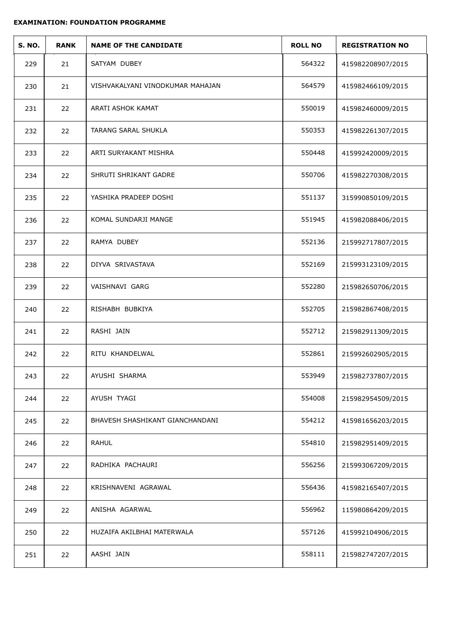| <b>S. NO.</b> | <b>RANK</b> | <b>NAME OF THE CANDIDATE</b>     | <b>ROLL NO</b> | <b>REGISTRATION NO</b> |
|---------------|-------------|----------------------------------|----------------|------------------------|
| 229           | 21          | SATYAM DUBEY                     | 564322         | 415982208907/2015      |
| 230           | 21          | VISHVAKALYANI VINODKUMAR MAHAJAN | 564579         | 415982466109/2015      |
| 231           | 22          | ARATI ASHOK KAMAT                | 550019         | 415982460009/2015      |
| 232           | 22          | TARANG SARAL SHUKLA              | 550353         | 415982261307/2015      |
| 233           | 22          | ARTI SURYAKANT MISHRA            | 550448         | 415992420009/2015      |
| 234           | 22          | SHRUTI SHRIKANT GADRE            | 550706         | 415982270308/2015      |
| 235           | 22          | YASHIKA PRADEEP DOSHI            | 551137         | 315990850109/2015      |
| 236           | 22          | KOMAL SUNDARJI MANGE             | 551945         | 415982088406/2015      |
| 237           | 22          | RAMYA DUBEY                      | 552136         | 215992717807/2015      |
| 238           | 22          | DIYVA SRIVASTAVA                 | 552169         | 215993123109/2015      |
| 239           | 22          | VAISHNAVI GARG                   | 552280         | 215982650706/2015      |
| 240           | 22          | RISHABH BUBKIYA                  | 552705         | 215982867408/2015      |
| 241           | 22          | RASHI JAIN                       | 552712         | 215982911309/2015      |
| 242           | 22          | RITU KHANDELWAL                  | 552861         | 215992602905/2015      |
| 243           | 22          | AYUSHI SHARMA                    | 553949         | 215982737807/2015      |
| 244           | 22          | AYUSH TYAGI                      | 554008         | 215982954509/2015      |
| 245           | 22          | BHAVESH SHASHIKANT GIANCHANDANI  | 554212         | 415981656203/2015      |
| 246           | 22          | <b>RAHUL</b>                     | 554810         | 215982951409/2015      |
| 247           | 22          | RADHIKA PACHAURI                 | 556256         | 215993067209/2015      |
| 248           | 22          | KRISHNAVENI AGRAWAL              | 556436         | 415982165407/2015      |
| 249           | 22          | ANISHA AGARWAL                   | 556962         | 115980864209/2015      |
| 250           | 22          | HUZAIFA AKILBHAI MATERWALA       | 557126         | 415992104906/2015      |
| 251           | 22          | AASHI JAIN                       | 558111         | 215982747207/2015      |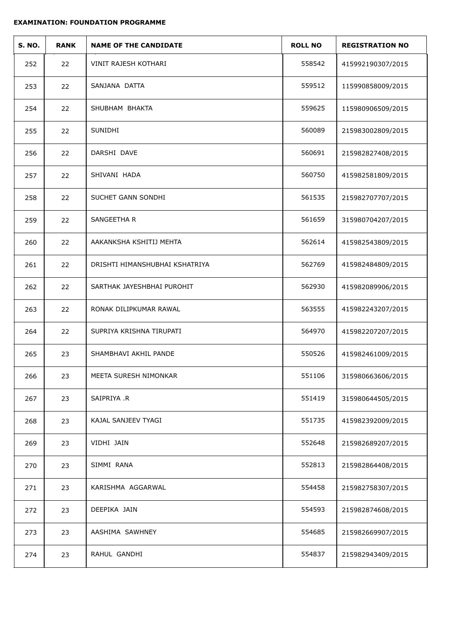| <b>S. NO.</b> | <b>RANK</b> | <b>NAME OF THE CANDIDATE</b>   | <b>ROLL NO</b> | <b>REGISTRATION NO</b> |
|---------------|-------------|--------------------------------|----------------|------------------------|
| 252           | 22          | VINIT RAJESH KOTHARI           | 558542         | 415992190307/2015      |
| 253           | 22          | SANJANA DATTA                  | 559512         | 115990858009/2015      |
| 254           | 22          | SHUBHAM BHAKTA                 | 559625         | 115980906509/2015      |
| 255           | 22          | SUNIDHI                        | 560089         | 215983002809/2015      |
| 256           | 22          | DARSHI DAVE                    | 560691         | 215982827408/2015      |
| 257           | 22          | SHIVANI HADA                   | 560750         | 415982581809/2015      |
| 258           | 22          | SUCHET GANN SONDHI             | 561535         | 215982707707/2015      |
| 259           | 22          | SANGEETHA R                    | 561659         | 315980704207/2015      |
| 260           | 22          | AAKANKSHA KSHITIJ MEHTA        | 562614         | 415982543809/2015      |
| 261           | 22          | DRISHTI HIMANSHUBHAI KSHATRIYA | 562769         | 415982484809/2015      |
| 262           | 22          | SARTHAK JAYESHBHAI PUROHIT     | 562930         | 415982089906/2015      |
| 263           | 22          | RONAK DILIPKUMAR RAWAL         | 563555         | 415982243207/2015      |
| 264           | 22          | SUPRIYA KRISHNA TIRUPATI       | 564970         | 415982207207/2015      |
| 265           | 23          | SHAMBHAVI AKHIL PANDE          | 550526         | 415982461009/2015      |
| 266           | 23          | MEETA SURESH NIMONKAR          | 551106         | 315980663606/2015      |
| 267           | 23          | SAIPRIYA .R                    | 551419         | 315980644505/2015      |
| 268           | 23          | KAJAL SANJEEV TYAGI            | 551735         | 415982392009/2015      |
| 269           | 23          | VIDHI JAIN                     | 552648         | 215982689207/2015      |
| 270           | 23          | SIMMI RANA                     | 552813         | 215982864408/2015      |
| 271           | 23          | KARISHMA AGGARWAL              | 554458         | 215982758307/2015      |
| 272           | 23          | DEEPIKA JAIN                   | 554593         | 215982874608/2015      |
| 273           | 23          | AASHIMA SAWHNEY                | 554685         | 215982669907/2015      |
| 274           | 23          | RAHUL GANDHI                   | 554837         | 215982943409/2015      |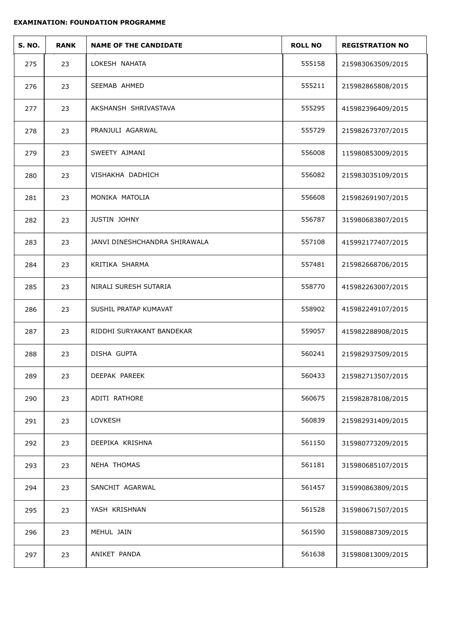| <b>S. NO.</b> | <b>RANK</b> | <b>NAME OF THE CANDIDATE</b>  | <b>ROLL NO</b> | <b>REGISTRATION NO</b> |
|---------------|-------------|-------------------------------|----------------|------------------------|
| 275           | 23          | LOKESH NAHATA                 | 555158         | 215983063509/2015      |
| 276           | 23          | SEEMAB AHMED                  | 555211         | 215982865808/2015      |
| 277           | 23          | AKSHANSH SHRIVASTAVA          | 555295         | 415982396409/2015      |
| 278           | 23          | PRANJULI AGARWAL              | 555729         | 215982673707/2015      |
| 279           | 23          | SWEETY AJMANI                 | 556008         | 115980853009/2015      |
| 280           | 23          | VISHAKHA DADHICH              | 556082         | 215983035109/2015      |
| 281           | 23          | MONIKA MATOLIA                | 556608         | 215982691907/2015      |
| 282           | 23          | <b>JUSTIN JOHNY</b>           | 556787         | 315980683807/2015      |
| 283           | 23          | JANVI DINESHCHANDRA SHIRAWALA | 557108         | 415992177407/2015      |
| 284           | 23          | KRITIKA SHARMA                | 557481         | 215982668706/2015      |
| 285           | 23          | NIRALI SURESH SUTARIA         | 558770         | 415982263007/2015      |
| 286           | 23          | SUSHIL PRATAP KUMAVAT         | 558902         | 415982249107/2015      |
| 287           | 23          | RIDDHI SURYAKANT BANDEKAR     | 559057         | 415982288908/2015      |
| 288           | 23          | DISHA GUPTA                   | 560241         | 215982937509/2015      |
| 289           | 23          | DEEPAK PAREEK                 | 560433         | 215982713507/2015      |
| 290           | 23          | ADITI RATHORE                 | 560675         | 215982878108/2015      |
| 291           | 23          | LOVKESH                       | 560839         | 215982931409/2015      |
| 292           | 23          | DEEPIKA KRISHNA               | 561150         | 315980773209/2015      |
| 293           | 23          | NEHA THOMAS                   | 561181         | 315980685107/2015      |
| 294           | 23          | SANCHIT AGARWAL               | 561457         | 315990863809/2015      |
| 295           | 23          | YASH KRISHNAN                 | 561528         | 315980671507/2015      |
| 296           | 23          | MEHUL JAIN                    | 561590         | 315980887309/2015      |
| 297           | 23          | ANIKET PANDA                  | 561638         | 315980813009/2015      |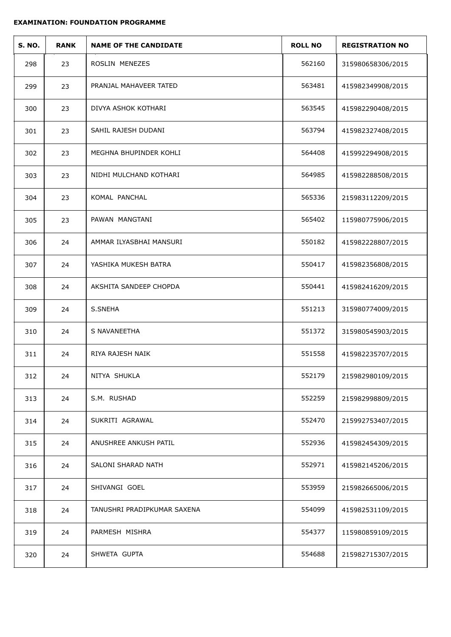| <b>S. NO.</b> | <b>RANK</b> | <b>NAME OF THE CANDIDATE</b> | <b>ROLL NO</b> | <b>REGISTRATION NO</b> |
|---------------|-------------|------------------------------|----------------|------------------------|
| 298           | 23          | ROSLIN MENEZES               | 562160         | 315980658306/2015      |
| 299           | 23          | PRANJAL MAHAVEER TATED       | 563481         | 415982349908/2015      |
| 300           | 23          | DIVYA ASHOK KOTHARI          | 563545         | 415982290408/2015      |
| 301           | 23          | SAHIL RAJESH DUDANI          | 563794         | 415982327408/2015      |
| 302           | 23          | MEGHNA BHUPINDER KOHLI       | 564408         | 415992294908/2015      |
| 303           | 23          | NIDHI MULCHAND KOTHARI       | 564985         | 415982288508/2015      |
| 304           | 23          | KOMAL PANCHAL                | 565336         | 215983112209/2015      |
| 305           | 23          | PAWAN MANGTANI               | 565402         | 115980775906/2015      |
| 306           | 24          | AMMAR ILYASBHAI MANSURI      | 550182         | 415982228807/2015      |
| 307           | 24          | YASHIKA MUKESH BATRA         | 550417         | 415982356808/2015      |
| 308           | 24          | AKSHITA SANDEEP CHOPDA       | 550441         | 415982416209/2015      |
| 309           | 24          | S.SNEHA                      | 551213         | 315980774009/2015      |
| 310           | 24          | S NAVANEETHA                 | 551372         | 315980545903/2015      |
| 311           | 24          | RIYA RAJESH NAIK             | 551558         | 415982235707/2015      |
| 312           | 24          | NITYA SHUKLA                 | 552179         | 215982980109/2015      |
| 313           | 24          | S.M. RUSHAD                  | 552259         | 215982998809/2015      |
| 314           | 24          | SUKRITI AGRAWAL              | 552470         | 215992753407/2015      |
| 315           | 24          | ANUSHREE ANKUSH PATIL        | 552936         | 415982454309/2015      |
| 316           | 24          | SALONI SHARAD NATH           | 552971         | 415982145206/2015      |
| 317           | 24          | SHIVANGI GOEL                | 553959         | 215982665006/2015      |
| 318           | 24          | TANUSHRI PRADIPKUMAR SAXENA  | 554099         | 415982531109/2015      |
| 319           | 24          | PARMESH MISHRA               | 554377         | 115980859109/2015      |
| 320           | 24          | SHWETA GUPTA                 | 554688         | 215982715307/2015      |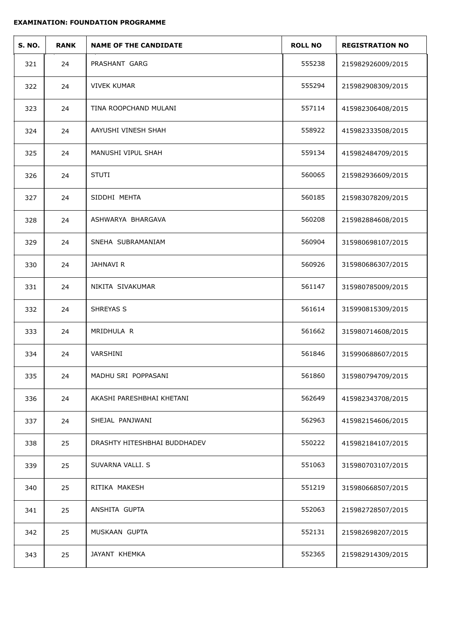| <b>S. NO.</b> | <b>RANK</b> | <b>NAME OF THE CANDIDATE</b> | <b>ROLL NO</b> | <b>REGISTRATION NO</b> |
|---------------|-------------|------------------------------|----------------|------------------------|
| 321           | 24          | PRASHANT GARG                | 555238         | 215982926009/2015      |
| 322           | 24          | <b>VIVEK KUMAR</b>           | 555294         | 215982908309/2015      |
| 323           | 24          | TINA ROOPCHAND MULANI        | 557114         | 415982306408/2015      |
| 324           | 24          | AAYUSHI VINESH SHAH          | 558922         | 415982333508/2015      |
| 325           | 24          | MANUSHI VIPUL SHAH           | 559134         | 415982484709/2015      |
| 326           | 24          | <b>STUTI</b>                 | 560065         | 215982936609/2015      |
| 327           | 24          | SIDDHI MEHTA                 | 560185         | 215983078209/2015      |
| 328           | 24          | ASHWARYA BHARGAVA            | 560208         | 215982884608/2015      |
| 329           | 24          | SNEHA SUBRAMANIAM            | 560904         | 315980698107/2015      |
| 330           | 24          | JAHNAVI R                    | 560926         | 315980686307/2015      |
| 331           | 24          | NIKITA SIVAKUMAR             | 561147         | 315980785009/2015      |
| 332           | 24          | SHREYAS S                    | 561614         | 315990815309/2015      |
| 333           | 24          | MRIDHULA R                   | 561662         | 315980714608/2015      |
| 334           | 24          | VARSHINI                     | 561846         | 315990688607/2015      |
| 335           | 24          | MADHU SRI POPPASANI          | 561860         | 315980794709/2015      |
| 336           | 24          | AKASHI PARESHBHAI KHETANI    | 562649         | 415982343708/2015      |
| 337           | 24          | SHEJAL PANJWANI              | 562963         | 415982154606/2015      |
| 338           | 25          | DRASHTY HITESHBHAI BUDDHADEV | 550222         | 415982184107/2015      |
| 339           | 25          | SUVARNA VALLI. S             | 551063         | 315980703107/2015      |
| 340           | 25          | RITIKA MAKESH                | 551219         | 315980668507/2015      |
| 341           | 25          | ANSHITA GUPTA                | 552063         | 215982728507/2015      |
| 342           | 25          | MUSKAAN GUPTA                | 552131         | 215982698207/2015      |
| 343           | 25          | JAYANT KHEMKA                | 552365         | 215982914309/2015      |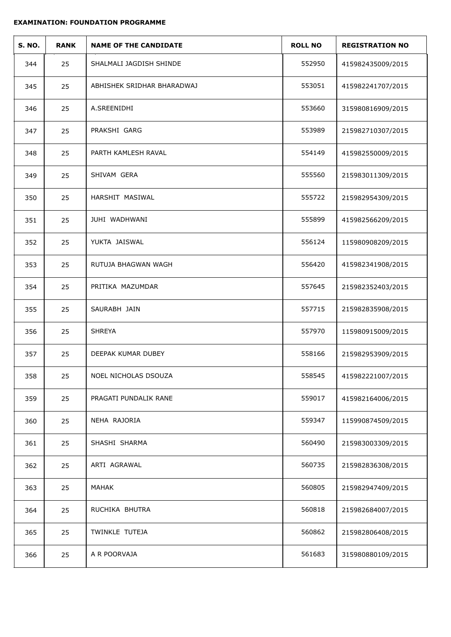| <b>S. NO.</b> | <b>RANK</b> | <b>NAME OF THE CANDIDATE</b> | <b>ROLL NO</b> | <b>REGISTRATION NO</b> |  |
|---------------|-------------|------------------------------|----------------|------------------------|--|
| 344           | 25          | SHALMALI JAGDISH SHINDE      | 552950         | 415982435009/2015      |  |
| 345           | 25          | ABHISHEK SRIDHAR BHARADWAJ   | 553051         | 415982241707/2015      |  |
| 346           | 25          | A.SREENIDHI                  | 553660         | 315980816909/2015      |  |
| 347           | 25          | PRAKSHI GARG                 | 553989         | 215982710307/2015      |  |
| 348           | 25          | PARTH KAMLESH RAVAL          | 554149         | 415982550009/2015      |  |
| 349           | 25          | SHIVAM GERA                  | 555560         | 215983011309/2015      |  |
| 350           | 25          | HARSHIT MASIWAL              | 555722         | 215982954309/2015      |  |
| 351           | 25          | JUHI WADHWANI                | 555899         | 415982566209/2015      |  |
| 352           | 25          | YUKTA JAISWAL                | 556124         | 115980908209/2015      |  |
| 353           | 25          | RUTUJA BHAGWAN WAGH          | 556420         | 415982341908/2015      |  |
| 354           | 25          | PRITIKA MAZUMDAR             | 557645         | 215982352403/2015      |  |
| 355           | 25          | SAURABH JAIN                 | 557715         | 215982835908/2015      |  |
| 356           | 25          | <b>SHREYA</b>                | 557970         | 115980915009/2015      |  |
| 357           | 25          | DEEPAK KUMAR DUBEY           | 558166         | 215982953909/2015      |  |
| 358           | 25          | NOEL NICHOLAS DSOUZA         | 558545         | 415982221007/2015      |  |
| 359           | 25          | PRAGATI PUNDALIK RANE        | 559017         | 415982164006/2015      |  |
| 360           | 25          | NEHA RAJORIA                 | 559347         | 115990874509/2015      |  |
| 361           | 25          | SHASHI SHARMA                | 560490         | 215983003309/2015      |  |
| 362           | 25          | ARTI AGRAWAL                 | 560735         | 215982836308/2015      |  |
| 363           | 25          | MAHAK                        | 560805         | 215982947409/2015      |  |
| 364           | 25          | RUCHIKA BHUTRA               | 560818         | 215982684007/2015      |  |
| 365           | 25          | TWINKLE TUTEJA               | 560862         | 215982806408/2015      |  |
| 366           | 25          | A R POORVAJA                 | 561683         | 315980880109/2015      |  |